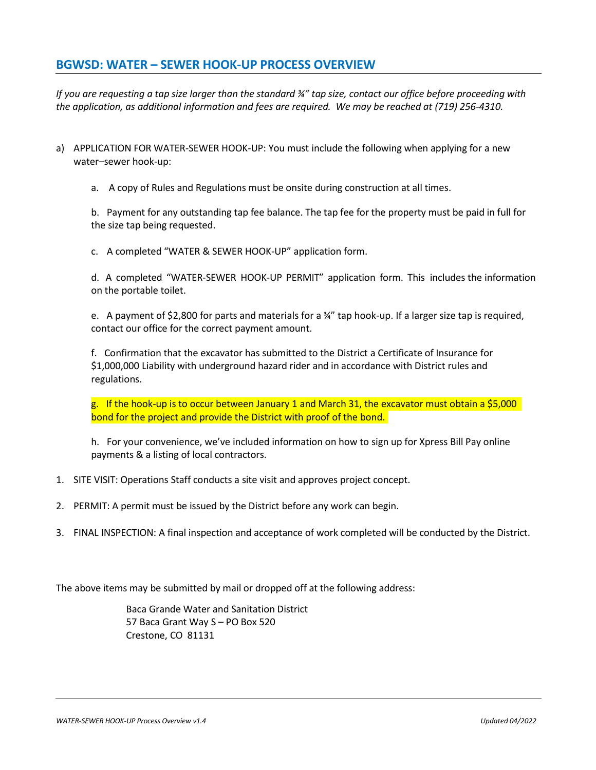#### **BGWSD: WATER – SEWER HOOK-UP PROCESS OVERVIEW**

*If you are requesting a tap size larger than the standard ¾" tap size, contact our office before proceeding with the application, as additional information and fees are required. We may be reached at (719) 256-4310.* 

- a) APPLICATION FOR WATER-SEWER HOOK-UP: You must include the following when applying for a new water–sewer hook-up:
	- a. A copy of Rules and Regulations must be onsite during construction at all times.

b. Payment for any outstanding tap fee balance. The tap fee for the property must be paid in full for the size tap being requested.

c. A completed "WATER & SEWER HOOK-UP" application form.

d. A completed "WATER-SEWER HOOK-UP PERMIT" application form. This includes the information on the portable toilet.

e. A payment of \$2,800 for parts and materials for a ¾" tap hook-up. If a larger size tap is required, contact our office for the correct payment amount.

f. Confirmation that the excavator has submitted to the District a Certificate of Insurance for \$1,000,000 Liability with underground hazard rider and in accordance with District rules and regulations.

g. If the hook-up is to occur between January 1 and March 31, the excavator must obtain a \$5,000 bond for the project and provide the District with proof of the bond.

h. For your convenience, we've included information on how to sign up for Xpress Bill Pay online payments & a listing of local contractors.

- 1. SITE VISIT: Operations Staff conducts a site visit and approves project concept.
- 2. PERMIT: A permit must be issued by the District before any work can begin.
- 3. FINAL INSPECTION: A final inspection and acceptance of work completed will be conducted by the District.

The above items may be submitted by mail or dropped off at the following address:

Baca Grande Water and Sanitation District 57 Baca Grant Way S – PO Box 520 Crestone, CO 81131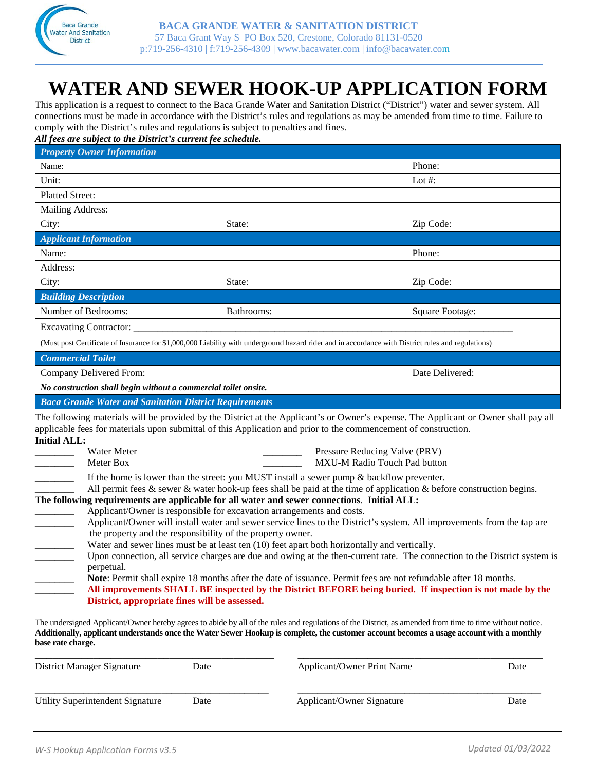

## **WATER AND SEWER HOOK-UP APPLICATION FORM**

This application is a request to connect to the Baca Grande Water and Sanitation District ("District") water and sewer system. All connections must be made in accordance with the District's rules and regulations as may be amended from time to time. Failure to comply with the District's rules and regulations is subject to penalties and fines.

*All fees are subject to the District's current fee schedule.*

| <b>Property Owner Information</b>                                                                                                                                            |                                                                                                                                                                                                                                                                                                                                                                                                                                                                                                                                                                                                                                                                                                                                                                                                                                                                                                                                                                                                                                                                                                                                                                                                                                                                                                                         |                 |
|------------------------------------------------------------------------------------------------------------------------------------------------------------------------------|-------------------------------------------------------------------------------------------------------------------------------------------------------------------------------------------------------------------------------------------------------------------------------------------------------------------------------------------------------------------------------------------------------------------------------------------------------------------------------------------------------------------------------------------------------------------------------------------------------------------------------------------------------------------------------------------------------------------------------------------------------------------------------------------------------------------------------------------------------------------------------------------------------------------------------------------------------------------------------------------------------------------------------------------------------------------------------------------------------------------------------------------------------------------------------------------------------------------------------------------------------------------------------------------------------------------------|-----------------|
| Name:                                                                                                                                                                        |                                                                                                                                                                                                                                                                                                                                                                                                                                                                                                                                                                                                                                                                                                                                                                                                                                                                                                                                                                                                                                                                                                                                                                                                                                                                                                                         | Phone:          |
| Unit:                                                                                                                                                                        |                                                                                                                                                                                                                                                                                                                                                                                                                                                                                                                                                                                                                                                                                                                                                                                                                                                                                                                                                                                                                                                                                                                                                                                                                                                                                                                         | Lot #:          |
| <b>Platted Street:</b>                                                                                                                                                       |                                                                                                                                                                                                                                                                                                                                                                                                                                                                                                                                                                                                                                                                                                                                                                                                                                                                                                                                                                                                                                                                                                                                                                                                                                                                                                                         |                 |
| Mailing Address:                                                                                                                                                             |                                                                                                                                                                                                                                                                                                                                                                                                                                                                                                                                                                                                                                                                                                                                                                                                                                                                                                                                                                                                                                                                                                                                                                                                                                                                                                                         |                 |
| City:                                                                                                                                                                        | State:                                                                                                                                                                                                                                                                                                                                                                                                                                                                                                                                                                                                                                                                                                                                                                                                                                                                                                                                                                                                                                                                                                                                                                                                                                                                                                                  | Zip Code:       |
| <b>Applicant Information</b>                                                                                                                                                 |                                                                                                                                                                                                                                                                                                                                                                                                                                                                                                                                                                                                                                                                                                                                                                                                                                                                                                                                                                                                                                                                                                                                                                                                                                                                                                                         |                 |
| Name:                                                                                                                                                                        |                                                                                                                                                                                                                                                                                                                                                                                                                                                                                                                                                                                                                                                                                                                                                                                                                                                                                                                                                                                                                                                                                                                                                                                                                                                                                                                         | Phone:          |
| Address:                                                                                                                                                                     |                                                                                                                                                                                                                                                                                                                                                                                                                                                                                                                                                                                                                                                                                                                                                                                                                                                                                                                                                                                                                                                                                                                                                                                                                                                                                                                         |                 |
| City:                                                                                                                                                                        | State:                                                                                                                                                                                                                                                                                                                                                                                                                                                                                                                                                                                                                                                                                                                                                                                                                                                                                                                                                                                                                                                                                                                                                                                                                                                                                                                  | Zip Code:       |
| <b>Building Description</b>                                                                                                                                                  |                                                                                                                                                                                                                                                                                                                                                                                                                                                                                                                                                                                                                                                                                                                                                                                                                                                                                                                                                                                                                                                                                                                                                                                                                                                                                                                         |                 |
| Number of Bedrooms:                                                                                                                                                          | Bathrooms:                                                                                                                                                                                                                                                                                                                                                                                                                                                                                                                                                                                                                                                                                                                                                                                                                                                                                                                                                                                                                                                                                                                                                                                                                                                                                                              | Square Footage: |
|                                                                                                                                                                              |                                                                                                                                                                                                                                                                                                                                                                                                                                                                                                                                                                                                                                                                                                                                                                                                                                                                                                                                                                                                                                                                                                                                                                                                                                                                                                                         |                 |
|                                                                                                                                                                              | (Must post Certificate of Insurance for \$1,000,000 Liability with underground hazard rider and in accordance with District rules and regulations)                                                                                                                                                                                                                                                                                                                                                                                                                                                                                                                                                                                                                                                                                                                                                                                                                                                                                                                                                                                                                                                                                                                                                                      |                 |
| <b>Commercial Toilet</b>                                                                                                                                                     |                                                                                                                                                                                                                                                                                                                                                                                                                                                                                                                                                                                                                                                                                                                                                                                                                                                                                                                                                                                                                                                                                                                                                                                                                                                                                                                         |                 |
| Company Delivered From:                                                                                                                                                      |                                                                                                                                                                                                                                                                                                                                                                                                                                                                                                                                                                                                                                                                                                                                                                                                                                                                                                                                                                                                                                                                                                                                                                                                                                                                                                                         | Date Delivered: |
| No construction shall begin without a commercial toilet onsite.                                                                                                              |                                                                                                                                                                                                                                                                                                                                                                                                                                                                                                                                                                                                                                                                                                                                                                                                                                                                                                                                                                                                                                                                                                                                                                                                                                                                                                                         |                 |
| <b>Baca Grande Water and Sanitation District Requirements</b>                                                                                                                |                                                                                                                                                                                                                                                                                                                                                                                                                                                                                                                                                                                                                                                                                                                                                                                                                                                                                                                                                                                                                                                                                                                                                                                                                                                                                                                         |                 |
| <b>Initial ALL:</b><br>Water Meter<br>Meter Box<br>the property and the responsibility of the property owner.<br>perpetual.<br>District, appropriate fines will be assessed. | The following materials will be provided by the District at the Applicant's or Owner's expense. The Applicant or Owner shall pay all<br>applicable fees for materials upon submittal of this Application and prior to the commencement of construction.<br>Pressure Reducing Valve (PRV)<br>MXU-M Radio Touch Pad button<br>If the home is lower than the street: you MUST install a sewer pump $\&$ backflow preventer.<br>All permit fees $\&$ sewer $\&$ water hook-up fees shall be paid at the time of application $\&$ before construction begins.<br>The following requirements are applicable for all water and sewer connections. Initial ALL:<br>Applicant/Owner is responsible for excavation arrangements and costs.<br>Applicant/Owner will install water and sewer service lines to the District's system. All improvements from the tap are<br>Water and sewer lines must be at least ten (10) feet apart both horizontally and vertically.<br>Upon connection, all service charges are due and owing at the then-current rate. The connection to the District system is<br>Note: Permit shall expire 18 months after the date of issuance. Permit fees are not refundable after 18 months.<br>All improvements SHALL BE inspected by the District BEFORE being buried. If inspection is not made by the |                 |
| base rate charge.                                                                                                                                                            | The undersigned Applicant/Owner hereby agrees to abide by all of the rules and regulations of the District, as amended from time to time without notice.<br>Additionally, applicant understands once the Water Sewer Hookup is complete, the customer account becomes a usage account with a monthly                                                                                                                                                                                                                                                                                                                                                                                                                                                                                                                                                                                                                                                                                                                                                                                                                                                                                                                                                                                                                    |                 |

| District Manager Signature       | Date | Applicant/Owner Print Name | Date |
|----------------------------------|------|----------------------------|------|
| Utility Superintendent Signature | Date | Applicant/Owner Signature  | Date |
|                                  |      |                            |      |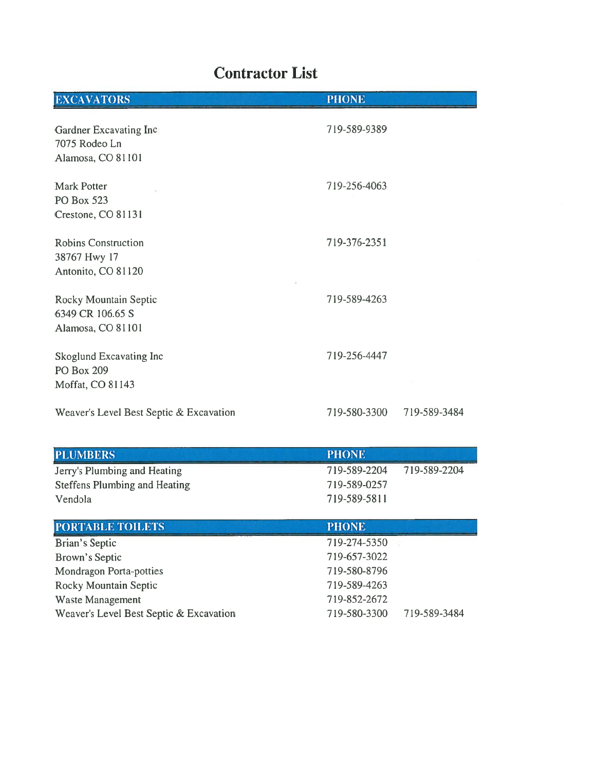### **Contractor List**

| <b>EXCAVATORS</b>                                                                                               | <b>PHONE</b>                                                                 |              |
|-----------------------------------------------------------------------------------------------------------------|------------------------------------------------------------------------------|--------------|
| Gardner Excavating Inc<br>7075 Rodeo Ln<br>Alamosa, CO 81101                                                    | 719-589-9389                                                                 |              |
| <b>Mark Potter</b><br>PO Box 523<br>Crestone, CO 81131                                                          | 719-256-4063                                                                 |              |
| <b>Robins Construction</b><br>38767 Hwy 17<br>Antonito, CO 81120                                                | 719-376-2351                                                                 |              |
| Rocky Mountain Septic<br>6349 CR 106.65 S<br>Alamosa, CO 81101                                                  | 719-589-4263                                                                 |              |
| Skoglund Excavating Inc<br>PO Box 209<br>Moffat, CO 81143                                                       | 719-256-4447                                                                 |              |
| Weaver's Level Best Septic & Excavation                                                                         | 719-580-3300                                                                 | 719-589-3484 |
| <b>PLUMBERS</b>                                                                                                 | <b>PHONE</b>                                                                 |              |
| Jerry's Plumbing and Heating<br><b>Steffens Plumbing and Heating</b><br>Vendola                                 | 719-589-2204<br>719-589-0257<br>719-589-5811                                 | 719-589-2204 |
| PORTABLE TOILETS                                                                                                | <b>PHONE</b>                                                                 |              |
| Brian's Septic<br>Brown's Septic<br><b>Mondragon Porta-potties</b><br>Rocky Mountain Septic<br>Waste Management | 719-274-5350<br>719-657-3022<br>719-580-8796<br>719-589-4263<br>719-852-2672 |              |
| Weaver's Level Best Septic & Excavation                                                                         | 719-580-3300                                                                 | 719-589-3484 |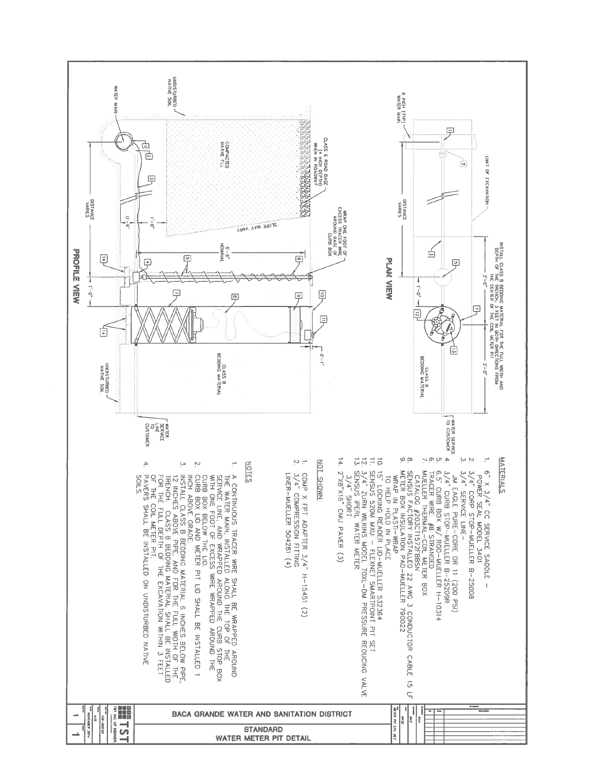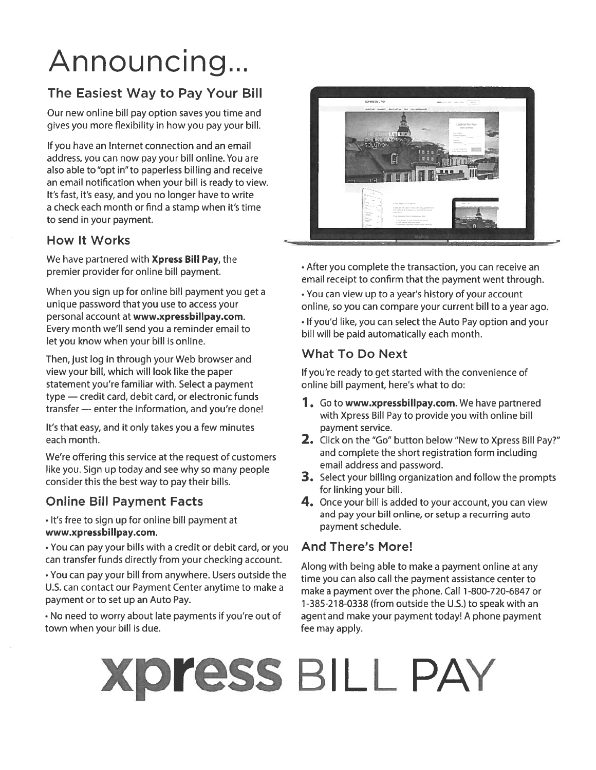# Announcing...

#### The Easiest Way to Pay Your Bill

Our new online bill pay option saves you time and gives you more flexibility in how you pay your bill.

If you have an Internet connection and an email address, you can now pay your bill online. You are also able to "opt in" to paperless billing and receive an email notification when your bill is ready to view. It's fast, it's easy, and you no longer have to write a check each month or find a stamp when it's time to send in your payment.

#### **How It Works**

We have partnered with Xpress Bill Pay, the premier provider for online bill payment.

When you sign up for online bill payment you get a unique password that you use to access your personal account at www.xpressbillpay.com. Every month we'll send you a reminder email to let you know when your bill is online.

Then, just log in through your Web browser and view your bill, which will look like the paper statement you're familiar with. Select a payment type - credit card, debit card, or electronic funds transfer - enter the information, and you're done!

It's that easy, and it only takes you a few minutes each month.

We're offering this service at the request of customers like you. Sign up today and see why so many people consider this the best way to pay their bills.

#### **Online Bill Payment Facts**

. It's free to sign up for online bill payment at www.xpressbillpay.com.

• You can pay your bills with a credit or debit card, or you can transfer funds directly from your checking account.

• You can pay your bill from anywhere. Users outside the U.S. can contact our Payment Center anytime to make a payment or to set up an Auto Pay.

. No need to worry about late payments if you're out of town when your bill is due.



• After you complete the transaction, you can receive an email receipt to confirm that the payment went through.

• You can view up to a year's history of your account online, so you can compare your current bill to a year ago. . If you'd like, you can select the Auto Pay option and your bill will be paid automatically each month.

#### **What To Do Next**

If you're ready to get started with the convenience of online bill payment, here's what to do:

- 1. Go to www.xpressbillpay.com. We have partnered with Xpress Bill Pay to provide you with online bill payment service.
- 2. Click on the "Go" button below "New to Xpress Bill Pay?" and complete the short registration form including email address and password.
- 3. Select your billing organization and follow the prompts for linking your bill.
- 4. Once your bill is added to your account, you can view and pay your bill online, or setup a recurring auto payment schedule.

#### **And There's More!**

Along with being able to make a payment online at any time you can also call the payment assistance center to make a payment over the phone. Call 1-800-720-6847 or 1-385-218-0338 (from outside the U.S.) to speak with an agent and make your payment today! A phone payment fee may apply.

# **Xpress BILL PAY**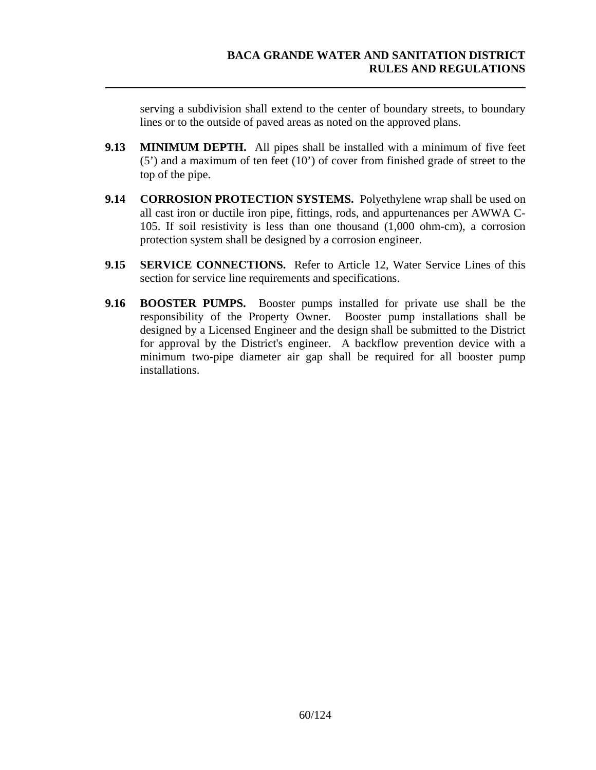serving a subdivision shall extend to the center of boundary streets, to boundary lines or to the outside of paved areas as noted on the approved plans.

- **9.13 MINIMUM DEPTH.** All pipes shall be installed with a minimum of five feet (5') and a maximum of ten feet (10') of cover from finished grade of street to the top of the pipe.
- **9.14 CORROSION PROTECTION SYSTEMS.** Polyethylene wrap shall be used on all cast iron or ductile iron pipe, fittings, rods, and appurtenances per AWWA C-105. If soil resistivity is less than one thousand (1,000 ohm-cm), a corrosion protection system shall be designed by a corrosion engineer.
- **9.15 SERVICE CONNECTIONS.** Refer to Article 12, Water Service Lines of this section for service line requirements and specifications.
- **9.16 BOOSTER PUMPS.** Booster pumps installed for private use shall be the responsibility of the Property Owner. Booster pump installations shall be designed by a Licensed Engineer and the design shall be submitted to the District for approval by the District's engineer. A backflow prevention device with a minimum two-pipe diameter air gap shall be required for all booster pump installations.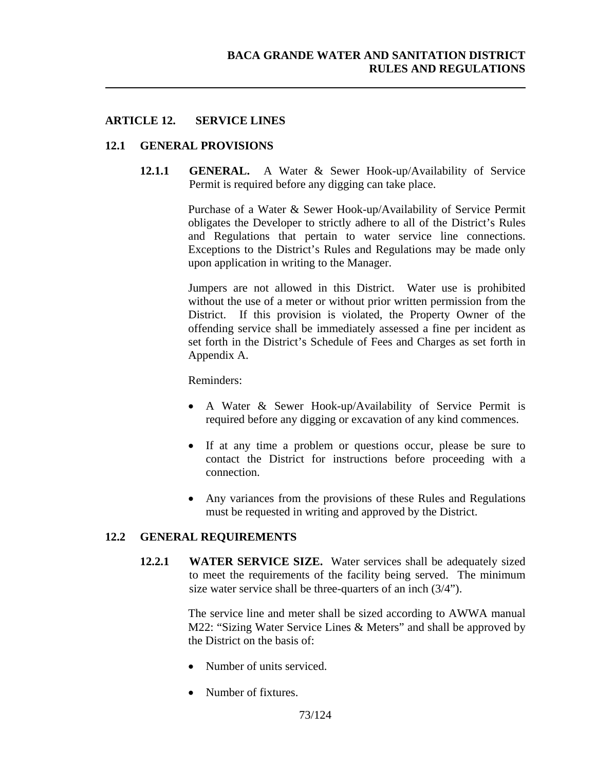#### **ARTICLE 12. SERVICE LINES**

#### **12.1 GENERAL PROVISIONS**

**12.1.1 GENERAL.** A Water & Sewer Hook-up/Availability of Service Permit is required before any digging can take place.

> Purchase of a Water & Sewer Hook-up/Availability of Service Permit obligates the Developer to strictly adhere to all of the District's Rules and Regulations that pertain to water service line connections. Exceptions to the District's Rules and Regulations may be made only upon application in writing to the Manager.

> Jumpers are not allowed in this District. Water use is prohibited without the use of a meter or without prior written permission from the District. If this provision is violated, the Property Owner of the offending service shall be immediately assessed a fine per incident as set forth in the District's Schedule of Fees and Charges as set forth in Appendix A.

Reminders:

- A Water & Sewer Hook-up/Availability of Service Permit is required before any digging or excavation of any kind commences.
- If at any time a problem or questions occur, please be sure to contact the District for instructions before proceeding with a connection.
- Any variances from the provisions of these Rules and Regulations must be requested in writing and approved by the District.

#### **12.2 GENERAL REQUIREMENTS**

**12.2.1 WATER SERVICE SIZE.** Water services shall be adequately sized to meet the requirements of the facility being served. The minimum size water service shall be three-quarters of an inch (3/4").

> The service line and meter shall be sized according to AWWA manual M22: "Sizing Water Service Lines & Meters" and shall be approved by the District on the basis of:

- Number of units serviced.
- Number of fixtures.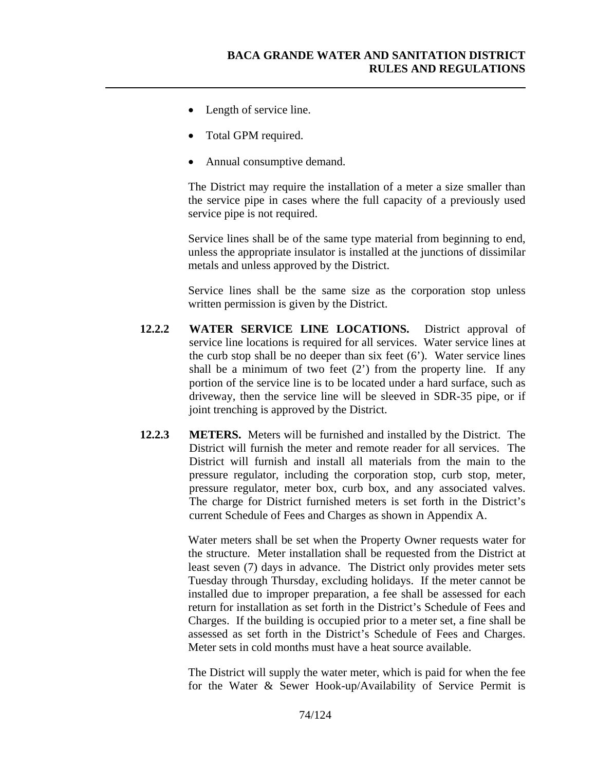- Length of service line.
- Total GPM required.
- Annual consumptive demand.

The District may require the installation of a meter a size smaller than the service pipe in cases where the full capacity of a previously used service pipe is not required.

Service lines shall be of the same type material from beginning to end, unless the appropriate insulator is installed at the junctions of dissimilar metals and unless approved by the District.

Service lines shall be the same size as the corporation stop unless written permission is given by the District.

- **12.2.2 WATER SERVICE LINE LOCATIONS.** District approval of service line locations is required for all services. Water service lines at the curb stop shall be no deeper than six feet  $(6')$ . Water service lines shall be a minimum of two feet  $(2')$  from the property line. If any portion of the service line is to be located under a hard surface, such as driveway, then the service line will be sleeved in SDR-35 pipe, or if joint trenching is approved by the District.
- **12.2.3 METERS.** Meters will be furnished and installed by the District. The District will furnish the meter and remote reader for all services. The District will furnish and install all materials from the main to the pressure regulator, including the corporation stop, curb stop, meter, pressure regulator, meter box, curb box, and any associated valves. The charge for District furnished meters is set forth in the District's current Schedule of Fees and Charges as shown in Appendix A.

Water meters shall be set when the Property Owner requests water for the structure. Meter installation shall be requested from the District at least seven (7) days in advance. The District only provides meter sets Tuesday through Thursday, excluding holidays. If the meter cannot be installed due to improper preparation, a fee shall be assessed for each return for installation as set forth in the District's Schedule of Fees and Charges. If the building is occupied prior to a meter set, a fine shall be assessed as set forth in the District's Schedule of Fees and Charges. Meter sets in cold months must have a heat source available.

The District will supply the water meter, which is paid for when the fee for the Water & Sewer Hook-up/Availability of Service Permit is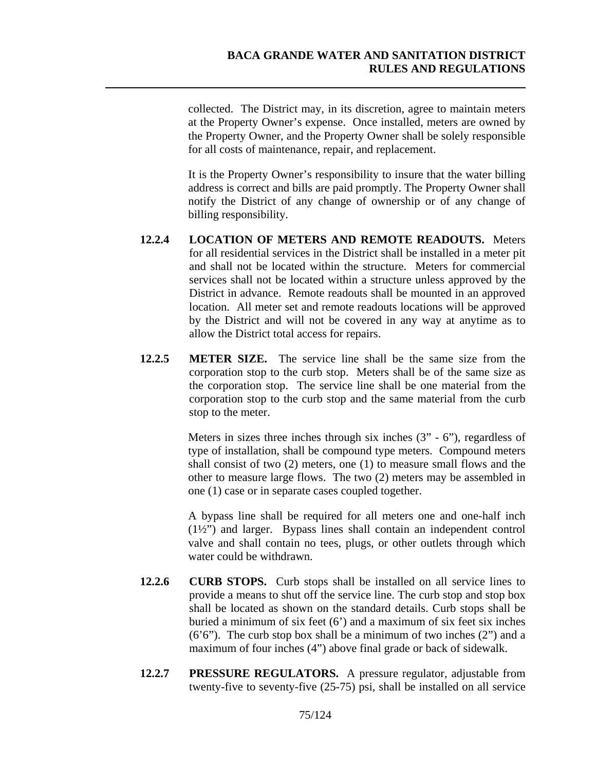collected. The District may, in its discretion, agree to maintain meters at the Property Owner's expense. Once installed, meters are owned by the Property Owner, and the Property Owner shall be solely responsible for all costs of maintenance, repair, and replacement.

It is the Property Owner's responsibility to insure that the water billing address is correct and bills are paid promptly. The Property Owner shall notify the District of any change of ownership or of any change of billing responsibility.

- **12.2.4 LOCATION OF METERS AND REMOTE READOUTS.** Meters for all residential services in the District shall be installed in a meter pit and shall not be located within the structure. Meters for commercial services shall not be located within a structure unless approved by the District in advance. Remote readouts shall be mounted in an approved location. All meter set and remote readouts locations will be approved by the District and will not be covered in any way at anytime as to allow the District total access for repairs.
- **12.2.5 METER SIZE.** The service line shall be the same size from the corporation stop to the curb stop. Meters shall be of the same size as the corporation stop. The service line shall be one material from the corporation stop to the curb stop and the same material from the curb stop to the meter.

Meters in sizes three inches through six inches  $(3" - 6")$ , regardless of type of installation, shall be compound type meters. Compound meters shall consist of two (2) meters, one (1) to measure small flows and the other to measure large flows. The two (2) meters may be assembled in one (1) case or in separate cases coupled together.

A bypass line shall be required for all meters one and one-half inch (1½") and larger. Bypass lines shall contain an independent control valve and shall contain no tees, plugs, or other outlets through which water could be withdrawn.

- **12.2.6 CURB STOPS.** Curb stops shall be installed on all service lines to provide a means to shut off the service line. The curb stop and stop box shall be located as shown on the standard details. Curb stops shall be buried a minimum of six feet (6') and a maximum of six feet six inches  $(6'6'')$ . The curb stop box shall be a minimum of two inches  $(2'')$  and a maximum of four inches (4") above final grade or back of sidewalk.
- **12.2.7 PRESSURE REGULATORS.** A pressure regulator, adjustable from twenty-five to seventy-five (25-75) psi, shall be installed on all service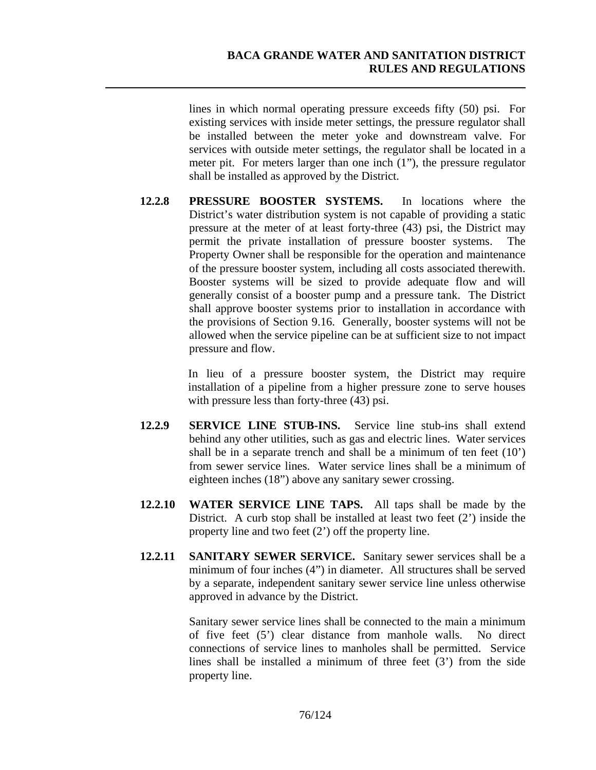lines in which normal operating pressure exceeds fifty (50) psi. For existing services with inside meter settings, the pressure regulator shall be installed between the meter yoke and downstream valve. For services with outside meter settings, the regulator shall be located in a meter pit. For meters larger than one inch (1"), the pressure regulator shall be installed as approved by the District.

**12.2.8 PRESSURE BOOSTER SYSTEMS.** In locations where the District's water distribution system is not capable of providing a static pressure at the meter of at least forty-three (43) psi, the District may permit the private installation of pressure booster systems. Property Owner shall be responsible for the operation and maintenance of the pressure booster system, including all costs associated therewith. Booster systems will be sized to provide adequate flow and will generally consist of a booster pump and a pressure tank. The District shall approve booster systems prior to installation in accordance with the provisions of Section 9.16. Generally, booster systems will not be allowed when the service pipeline can be at sufficient size to not impact pressure and flow.

> In lieu of a pressure booster system, the District may require installation of a pipeline from a higher pressure zone to serve houses with pressure less than forty-three  $(43)$  psi.

- **12.2.9 SERVICE LINE STUB-INS.** Service line stub-ins shall extend behind any other utilities, such as gas and electric lines. Water services shall be in a separate trench and shall be a minimum of ten feet  $(10)$ from sewer service lines. Water service lines shall be a minimum of eighteen inches (18") above any sanitary sewer crossing.
- **12.2.10 WATER SERVICE LINE TAPS.** All taps shall be made by the District. A curb stop shall be installed at least two feet  $(2')$  inside the property line and two feet (2') off the property line.
- **12.2.11 SANITARY SEWER SERVICE.** Sanitary sewer services shall be a minimum of four inches (4") in diameter. All structures shall be served by a separate, independent sanitary sewer service line unless otherwise approved in advance by the District.

Sanitary sewer service lines shall be connected to the main a minimum of five feet (5') clear distance from manhole walls. No direct connections of service lines to manholes shall be permitted. Service lines shall be installed a minimum of three feet (3') from the side property line.